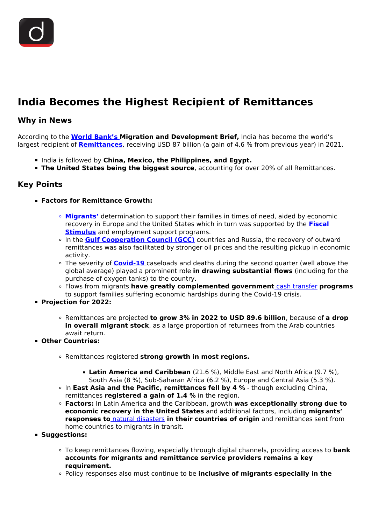# **India Becomes the Highest Recipient of Remittances**

### **Why in News**

According to the **[World Bank's](/important-institutions/drishti-specials-important-institutions-international-institution/world-bank-group) Migration and Development Brief,** India has become the world's largest recipient of **[Remittances](/daily-updates/daily-news-editorials/migration-and-remittances-the-gender-angle)**, receiving USD 87 billion (a gain of 4.6 % from previous year) in 2021.

- India is followed by **China, Mexico, the Philippines, and Egypt.**
- **The United States being the biggest source**, accounting for over 20% of all Remittances.

## **Key Points**

- **Factors for Remittance Growth:**
	- **[Migrants'](/daily-updates/daily-news-editorials/registration-of-migrant-workers)** determination to support their families in times of need, aided by economic recovery in Europe and the United States which in turn was supported by the **[Fiscal](/daily-updates/daily-news-analysis/economic-stimulus-v) [Stimulus](/daily-updates/daily-news-analysis/economic-stimulus-v)** and employment support programs.
	- In the **[Gulf Cooperation Council \(GCC\)](/daily-updates/daily-news-analysis/gulf-cooperation-council-and-india)** countries and Russia, the recovery of outward remittances was also facilitated by stronger oil prices and the resulting pickup in economic activity.
	- The severity of **[Covid-19](/loksabha-rajyasabha-discussions/the-big-picture-india-s-covid-pandemic-management)** caseloads and deaths during the second quarter (well above the global average) played a prominent role **in drawing substantial flows** (including for the purchase of oxygen tanks) to the country.
	- Flows from migrants **have greatly complemented government** [cash transfer](/daily-updates/daily-news-analysis/neft-rtgs-direct-membership-for-payment-system-operators) **programs** to support families suffering economic hardships during the Covid-19 crisis.
- **Projection for 2022:**
	- Remittances are projected **to grow 3% in 2022 to USD 89.6 billion**, because of **a drop in overall migrant stock**, as a large proportion of returnees from the Arab countries await return.
- **Other Countries:**
	- Remittances registered **strong growth in most regions.**
		- **Latin America and Caribbean** (21.6 %), Middle East and North Africa (9.7 %), South Asia (8 %), Sub-Saharan Africa (6.2 %), Europe and Central Asia (5.3 %).
	- In **East Asia and the Pacific, remittances fell by 4 %** though excluding China, remittances **registered a gain of 1.4 %** in the region.
	- **Factors:** In Latin America and the Caribbean, growth **was exceptionally strong due to economic recovery in the United States** and additional factors, including **migrants' responses to** [natural disasters](/to-the-points/paper3/disaster-management-i) **in their countries of origin** and remittances sent from home countries to migrants in transit.
- **Suggestions:**
	- To keep remittances flowing, especially through digital channels, providing access to **bank accounts for migrants and remittance service providers remains a key requirement.**
	- Policy responses also must continue to be **inclusive of migrants especially in the**